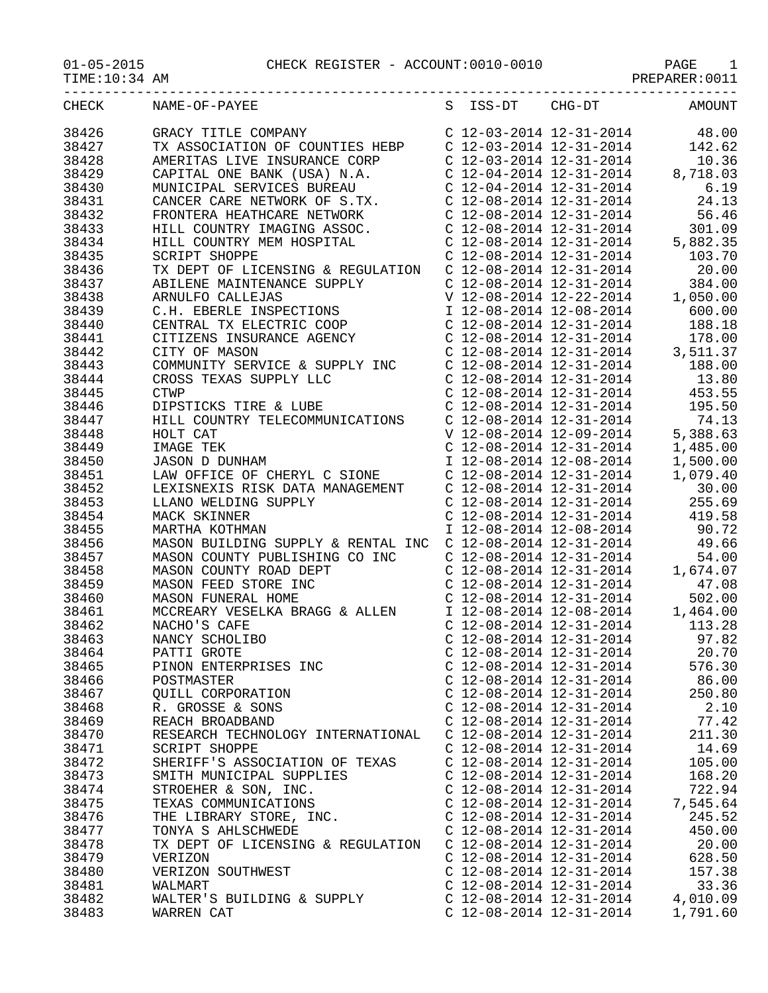01-05-2015 CHECK REGISTER - ACCOUNT:0010-0010 PAGE 1

TIME:10:34 AM PREPARER:0011

| CHECK | NAME-OF-PAYEE                                           |                           | S ISS-DT CHG-DT           | AMOUNT   |
|-------|---------------------------------------------------------|---------------------------|---------------------------|----------|
| 38426 | $C$ 12-03-2014 12-31-2014<br>GRACY TITLE COMPANY        |                           |                           | 48.00    |
| 38427 | TX ASSOCIATION OF COUNTIES HEBP C 12-03-2014 12-31-2014 |                           |                           | 142.62   |
| 38428 | AMERITAS LIVE INSURANCE CORP                            |                           | C 12-03-2014 12-31-2014   | 10.36    |
| 38429 | CAPITAL ONE BANK (USA) N.A.                             |                           | $C$ 12-04-2014 12-31-2014 | 8,718.03 |
| 38430 | MUNICIPAL SERVICES BUREAU                               |                           | C 12-04-2014 12-31-2014   | 6.19     |
| 38431 | CANCER CARE NETWORK OF S.TX.                            |                           | C 12-08-2014 12-31-2014   | 24.13    |
| 38432 | FRONTERA HEATHCARE NETWORK                              |                           | $C$ 12-08-2014 12-31-2014 | 56.46    |
| 38433 | HILL COUNTRY IMAGING ASSOC.                             |                           | C 12-08-2014 12-31-2014   | 301.09   |
| 38434 | HILL COUNTRY MEM HOSPITAL                               | C 12-08-2014 12-31-2014   |                           | 5,882.35 |
| 38435 | <b>SCRIPT SHOPPE</b>                                    |                           | C 12-08-2014 12-31-2014   | 103.70   |
| 38436 | TX DEPT OF LICENSING & REGULATION                       |                           | C 12-08-2014 12-31-2014   | 20.00    |
| 38437 | ABILENE MAINTENANCE SUPPLY                              |                           | C 12-08-2014 12-31-2014   | 384.00   |
| 38438 | ARNULFO CALLEJAS                                        |                           | V 12-08-2014 12-22-2014   | 1,050.00 |
| 38439 | C.H. EBERLE INSPECTIONS                                 |                           | I 12-08-2014 12-08-2014   | 600.00   |
| 38440 | CENTRAL TX ELECTRIC COOP                                |                           | C 12-08-2014 12-31-2014   | 188.18   |
| 38441 | CITIZENS INSURANCE AGENCY                               |                           | C 12-08-2014 12-31-2014   | 178.00   |
| 38442 | CITY OF MASON                                           |                           | $C$ 12-08-2014 12-31-2014 | 3,511.37 |
| 38443 | COMMUNITY SERVICE & SUPPLY INC                          | $C$ 12-08-2014 12-31-2014 |                           | 188.00   |
| 38444 | CROSS TEXAS SUPPLY LLC                                  |                           | $C$ 12-08-2014 12-31-2014 | 13.80    |
| 38445 | <b>CTWP</b>                                             |                           | C 12-08-2014 12-31-2014   | 453.55   |
| 38446 | DIPSTICKS TIRE & LUBE                                   |                           | $C$ 12-08-2014 12-31-2014 | 195.50   |
| 38447 | HILL COUNTRY TELECOMMUNICATIONS                         |                           | C 12-08-2014 12-31-2014   | 74.13    |
| 38448 | HOLT CAT                                                |                           | V 12-08-2014 12-09-2014   | 5,388.63 |
| 38449 | IMAGE TEK                                               | $C$ 12-08-2014 12-31-2014 |                           | 1,485.00 |
| 38450 | <b>JASON D DUNHAM</b>                                   | I 12-08-2014 12-08-2014   |                           | 1,500.00 |

| ----  | CIIILO INDONIANCI INDINCI                                                                                                                                                                                                                       |                                                                                                                                                                                                                                                                                     |          |
|-------|-------------------------------------------------------------------------------------------------------------------------------------------------------------------------------------------------------------------------------------------------|-------------------------------------------------------------------------------------------------------------------------------------------------------------------------------------------------------------------------------------------------------------------------------------|----------|
| 38442 | CITY OF MASON                                                                                                                                                                                                                                   | $C$ 12-08-2014 12-31-2014 3,511.37                                                                                                                                                                                                                                                  |          |
| 38443 | COMMUNITY SERVICE & SUPPLY INC<br>CROSS TEXAS SUPPLY LLC<br>CROSS TEXAS SUPPLY LLC<br>C 12-08-2014 12-31-2014 13.80<br>C 12-08-2014 12-31-2014 453.55                                                                                           |                                                                                                                                                                                                                                                                                     |          |
| 38444 |                                                                                                                                                                                                                                                 |                                                                                                                                                                                                                                                                                     |          |
| 38445 |                                                                                                                                                                                                                                                 |                                                                                                                                                                                                                                                                                     |          |
| 38446 | DIPSTICKS TIRE & LUBE                                                                                                                                                                                                                           | C 12-08-2014 12-31-2014 195.50                                                                                                                                                                                                                                                      |          |
| 38447 | HILL COUNTRY TELECOMMUNICATIONS                                                                                                                                                                                                                 |                                                                                                                                                                                                                                                                                     |          |
| 38448 | HOLT CAT                                                                                                                                                                                                                                        |                                                                                                                                                                                                                                                                                     |          |
| 38449 |                                                                                                                                                                                                                                                 |                                                                                                                                                                                                                                                                                     | 1,485.00 |
| 38450 | HOLT CAT<br>IMAGE TEK<br>JASON D DUNHAM                                                                                                                                                                                                         | $\begin{tabular}{lllllllll} $c$ & 12-08-2014 & 12-31-2014 & & 74.13 \\ $V$ & 12-08-2014 & 12-09-2014 & & 5\,, 388.63 \\ $c$ & 12-08-2014 & 12-31-2014 & & 1\,, 485.00 \\ $I$ & 12-08-2014 & 12-08-2014 & & 1\,, 500.00 \\ \end{tabular}$                                            |          |
| 38451 | LAW OFFICE OF CHERYL C SIONE                                                                                                                                                                                                                    | C 12-08-2014 12-31-2014                                                                                                                                                                                                                                                             | 1,079.40 |
| 38452 |                                                                                                                                                                                                                                                 |                                                                                                                                                                                                                                                                                     |          |
| 38453 |                                                                                                                                                                                                                                                 |                                                                                                                                                                                                                                                                                     |          |
| 38454 | LEXISNEXIS RISK DATA MANAGEMENT<br>LLANO WELDING SUPPLY C 12-08-2014 12-31-2014 255.69<br>MACK SKINNER C 12-08-2014 12-31-2014 419.58                                                                                                           |                                                                                                                                                                                                                                                                                     |          |
| 38455 | SUPPLY<br>MARTHA KOTHMAN                                                                                                                                                                                                                        | I 12-08-2014 12-08-2014 90.72                                                                                                                                                                                                                                                       |          |
| 38456 | MASON BUILDING SUPPLY & RENTAL INC C 12-08-2014 12-31-2014 49.66<br>MASON COUNTY PUBLISHING CO INC C 12-08-2014 12-31-2014 54.00<br>MASON COUNTY ROAD DEPT C 12-08-2014 12-31-2014 1,674.07                                                     |                                                                                                                                                                                                                                                                                     |          |
| 38457 |                                                                                                                                                                                                                                                 |                                                                                                                                                                                                                                                                                     |          |
| 38458 |                                                                                                                                                                                                                                                 |                                                                                                                                                                                                                                                                                     |          |
| 38459 | MASON FEED STORE INC                                                                                                                                                                                                                            | $C$ 12-08-2014 12-31-2014 47.08                                                                                                                                                                                                                                                     |          |
| 38460 | $\frac{P}{2}$<br>MASON FUNERAL HOME<br>MASON FUNERAL HOME<br>MCCREARY VESELKA BRAGG & ALLEN<br>MCCREARY VESELKA BRAGG & ALLEN<br>C 12-08-2014 12-31-2014<br>113.28                                                                              |                                                                                                                                                                                                                                                                                     |          |
| 38461 |                                                                                                                                                                                                                                                 |                                                                                                                                                                                                                                                                                     |          |
| 38462 |                                                                                                                                                                                                                                                 |                                                                                                                                                                                                                                                                                     |          |
| 38463 | NCCREANT VISITING SUBSIDE<br>NACHO'S CAFE<br>NANCY SCHOLIBO<br>PATTI GROTE<br>PINON ENTERPRISES INC<br>POSTMASTER<br>QUILL CORPORATION<br>R. GROSSE & SONS<br>REACH BROADBAND                                                                   | C $12-08-2014$ $12-31-2014$ 97.82                                                                                                                                                                                                                                                   |          |
| 38464 |                                                                                                                                                                                                                                                 | C $12-08-2014$ $12-31-2014$ 20.70                                                                                                                                                                                                                                                   |          |
| 38465 |                                                                                                                                                                                                                                                 | $\left. \begin{array}{llllll} \mbox{C} & 12\!-\!08\!-\!2014 & 12\!-\!31\!-\!2014 & 576\!-\!30 \\ \mbox{C} & 12\!-\!08\!-\!2014 & 12\!-\!31\!-\!2014 & 86\!-\!00 \\ \mbox{C} & 12\!-\!08\!-\!2014 & 12\!-\!31\!-\!2014 & 250\!-\!80 \\ \end{array} \right.$                          |          |
| 38466 |                                                                                                                                                                                                                                                 |                                                                                                                                                                                                                                                                                     |          |
| 38467 |                                                                                                                                                                                                                                                 |                                                                                                                                                                                                                                                                                     |          |
| 38468 |                                                                                                                                                                                                                                                 | C $12-08-2014$ $12-31-2014$ 2.10                                                                                                                                                                                                                                                    |          |
| 38469 | REACH BROADBAND<br>REACH BROADBAND<br>RESEARCH TECHNOLOGY INTERNATIONAL<br>C 12-08-2014 12-31-2014<br>C 12-08-2014 12-31-2014<br>C 12-08-2014 12-31-2014<br>C 12-08-2014 12-31-2014<br>C 12-08-2014 12-31-2014                                  |                                                                                                                                                                                                                                                                                     |          |
| 38470 |                                                                                                                                                                                                                                                 |                                                                                                                                                                                                                                                                                     |          |
| 38471 |                                                                                                                                                                                                                                                 |                                                                                                                                                                                                                                                                                     |          |
| 38472 | SHERIFF'S ASSOCIATION OF TEXAS C 12-08-2014 12-31-2014 105.00                                                                                                                                                                                   |                                                                                                                                                                                                                                                                                     |          |
| 38473 |                                                                                                                                                                                                                                                 |                                                                                                                                                                                                                                                                                     |          |
| 38474 |                                                                                                                                                                                                                                                 |                                                                                                                                                                                                                                                                                     |          |
| 38475 |                                                                                                                                                                                                                                                 |                                                                                                                                                                                                                                                                                     |          |
| 38476 |                                                                                                                                                                                                                                                 |                                                                                                                                                                                                                                                                                     |          |
| 38477 | SMITH MUNICIPAL SUPPLIES<br>STROEHER & SON, INC.<br>TEXAS COMMUNICATIONS<br>THE LIBRARY STORE, INC.<br>C 12-08-2014 12-31-2014<br>C 12-08-2014 12-31-2014<br>C 12-08-2014 12-31-2014<br>C 12-08-2014 12-31-2014<br>C 12-08-2014 12-31-2014<br>C | C $12-08-2014$ $12-31-2014$ $450.00$                                                                                                                                                                                                                                                |          |
| 38478 | TX DEPT OF LICENSING & REGULATION<br>C 12-08-2014 12-31-2014<br>C 12-08-2014 12-31-2014 628.50                                                                                                                                                  |                                                                                                                                                                                                                                                                                     |          |
| 38479 | VERIZON                                                                                                                                                                                                                                         |                                                                                                                                                                                                                                                                                     |          |
| 38480 | VERIZON SOUTHWEST                                                                                                                                                                                                                               | C $12-08-2014$ $12-31-2014$ $157.38$                                                                                                                                                                                                                                                |          |
| 38481 | <b>WALMART</b>                                                                                                                                                                                                                                  |                                                                                                                                                                                                                                                                                     |          |
| 38482 | WALTER'S BUILDING & SUPPLY                                                                                                                                                                                                                      |                                                                                                                                                                                                                                                                                     |          |
| 38483 | WARREN CAT                                                                                                                                                                                                                                      | $\left. \begin{array}{llllll} \mbox{C} & 12\hbox{-}08\hbox{-}2014 & 12\hbox{-}31\hbox{-}2014 & 33.36 \\ \mbox{C} & 12\hbox{-}08\hbox{-}2014 & 12\hbox{-}31\hbox{-}2014 & 4,010.09 \\ \mbox{C} & 12\hbox{-}08\hbox{-}2014 & 12\hbox{-}31\hbox{-}2014 & 1,791.60 \end{array} \right.$ |          |
|       |                                                                                                                                                                                                                                                 |                                                                                                                                                                                                                                                                                     |          |

| C<br>$\mathsf C$               | - - -<br>J J<br>⊶ ∸ →                | ~∸<br><b>△○</b> → →<br>12-08-2014 12-31-2014<br>12-08-2014 12-31-2014 | $50 + 0.02$<br>5,882.35<br>103.70 |
|--------------------------------|--------------------------------------|-----------------------------------------------------------------------|-----------------------------------|
| $\mathsf C$                    | 12-08-2014                           | $12 - 31 - 2014$                                                      | 20.00                             |
| $\mathcal{C}$                  | $12 - 08 - 2014$                     | 12-08-2014 12-31-2014                                                 | 384.00                            |
| V                              |                                      | $12 - 22 - 2014$                                                      | 1,050.00                          |
| $\mathbbm{I}$                  | $12 - 08 - 2014$                     | $12 - 08 - 2014$                                                      | 600.00                            |
| $\mathsf{C}$                   | $12 - 08 - 2014$                     | $12 - 31 - 2014$                                                      | 188.18                            |
| $\mathsf{C}$                   | 12-08-2014                           | $12 - 31 - 2014$                                                      | 178.00                            |
| $\mathcal{C}$                  | 12-08-2014                           | $12 - 31 - 2014$                                                      | 3,511.37                          |
| $\mathsf C$                    | $12 - 08 - 2014$                     | $12 - 31 - 2014$                                                      | 188.00                            |
| $\mathsf C$                    | $12 - 08 - 2014$                     | $12 - 31 - 2014$                                                      | 13.80                             |
| $\mathcal{C}$                  | 12-08-2014                           | $12 - 31 - 2014$                                                      | 453.55                            |
| $\mathcal{C}$                  | 12-08-2014                           | $12 - 31 - 2014$                                                      | 195.50                            |
| $\mathsf C$                    | 12-08-2014                           | $12 - 31 - 2014$                                                      | 74.13                             |
| V                              | 12-08-2014                           | $12 - 09 - 2014$                                                      | 5,388.63                          |
| $\mathsf C$                    | $12 - 08 - 2014$                     | $12 - 31 - 2014$                                                      | 1,485.00                          |
| $\mathbf I$                    | $12 - 08 - 2014$                     | $12 - 08 - 2014$                                                      | 1,500.00                          |
| $\mathsf{C}$                   | $12 - 08 - 2014$                     | $12 - 31 - 2014$                                                      | 1,079.40                          |
| $\mathsf{C}$                   | $12 - 08 - 2014$                     | $12 - 31 - 2014$                                                      | 30.00                             |
| $\mathcal{C}$                  | $12 - 08 - 2014$                     | $12 - 31 - 2014$                                                      | 255.69                            |
| $\mathsf{C}$                   | $12 - 08 - 2014$                     | $12 - 31 - 2014$                                                      | 419.58                            |
| $\mathbbm{I}$                  | $12 - 08 - 2014$                     | $12 - 08 - 2014$                                                      | 90.72                             |
| $\mathsf{C}$                   | 12-08-2014                           | $12 - 31 - 2014$                                                      | 49.66                             |
| $\mathsf{C}$                   | 12-08-2014                           | $12 - 31 - 2014$                                                      | 54.00                             |
| $\mathsf C$                    | 12-08-2014                           | $12 - 31 - 2014$                                                      | 1,674.07                          |
| $\mathsf C$                    | 12-08-2014                           | $12 - 31 - 2014$                                                      | 47.08                             |
| $\mathsf{C}$                   | $12 - 08 - 2014$                     | $12 - 31 - 2014$                                                      | 502.00                            |
| $\mathbf I$                    | $12 - 08 - 2014$                     | $12 - 08 - 2014$                                                      | 1,464.00                          |
| $\mathsf{C}$                   | $12 - 08 - 2014$                     | $12 - 31 - 2014$                                                      | 113.28                            |
| $\mathsf{C}$                   | $12 - 08 - 2014$                     | $12 - 31 - 2014$                                                      | 97.82                             |
| $\mathsf C$                    | 12-08-2014                           | $12 - 31 - 2014$                                                      | 20.70                             |
| $\mathsf{C}$                   | $12 - 08 - 2014$                     | $12 - 31 - 2014$                                                      | 576.30                            |
| $\mathsf C$                    | $12 - 08 - 2014$                     | $12 - 31 - 2014$                                                      | 86.00                             |
| $\mathcal{C}$                  | 12-08-2014                           | $12 - 31 - 2014$                                                      | 250.80                            |
| $\mathsf C$                    | 12-08-2014                           | $12 - 31 - 2014$                                                      | 2.10                              |
| $\mathsf C$                    | 12-08-2014                           | $12 - 31 - 2014$                                                      | 77.42                             |
| $\mathsf{C}$                   |                                      | 12-08-2014 12-31-2014                                                 | 211.30                            |
| $\mathsf{C}$                   |                                      | 12-08-2014 12-31-2014                                                 | 14.69                             |
| $\mathsf C$                    |                                      | 12-08-2014 12-31-2014                                                 | 105.00                            |
| $\mathsf C$                    |                                      | 12-08-2014 12-31-2014                                                 | 168.20                            |
| $\mathsf C$                    | 12-08-2014                           | $12 - 31 - 2014$                                                      | 722.94                            |
| С                              | $12 - 08 - 2014$                     | 12-31-2014                                                            | 7,545.64                          |
| $\mathsf{C}$                   | $12 - 08 - 2014$                     | $12 - 31 - 2014$                                                      | 245.52                            |
| $\mathsf C$                    | $12 - 08 - 2014$                     | $12 - 31 - 2014$                                                      | 450.00                            |
| C                              | $12 - 08 - 2014$                     | $12 - 31 - 2014$                                                      | 20.00                             |
| $\mathsf{C}$                   | $12 - 08 - 2014$                     | $12 - 31 - 2014$                                                      | 628.50                            |
| $\mathsf{C}$                   | $12 - 08 - 2014$                     | $12 - 31 - 2014$                                                      | 157.38                            |
| $\mathsf C$                    | $12 - 08 - 2014$<br>$12 - 08 - 2014$ | $12 - 31 - 2014$<br>$12 - 31 - 2014$                                  | 33.36                             |
| $\mathcal{C}$<br>$\mathcal{C}$ | $12 - 08 - 2014$                     | $12 - 31 - 2014$                                                      | 4,010.09<br>1,791.60              |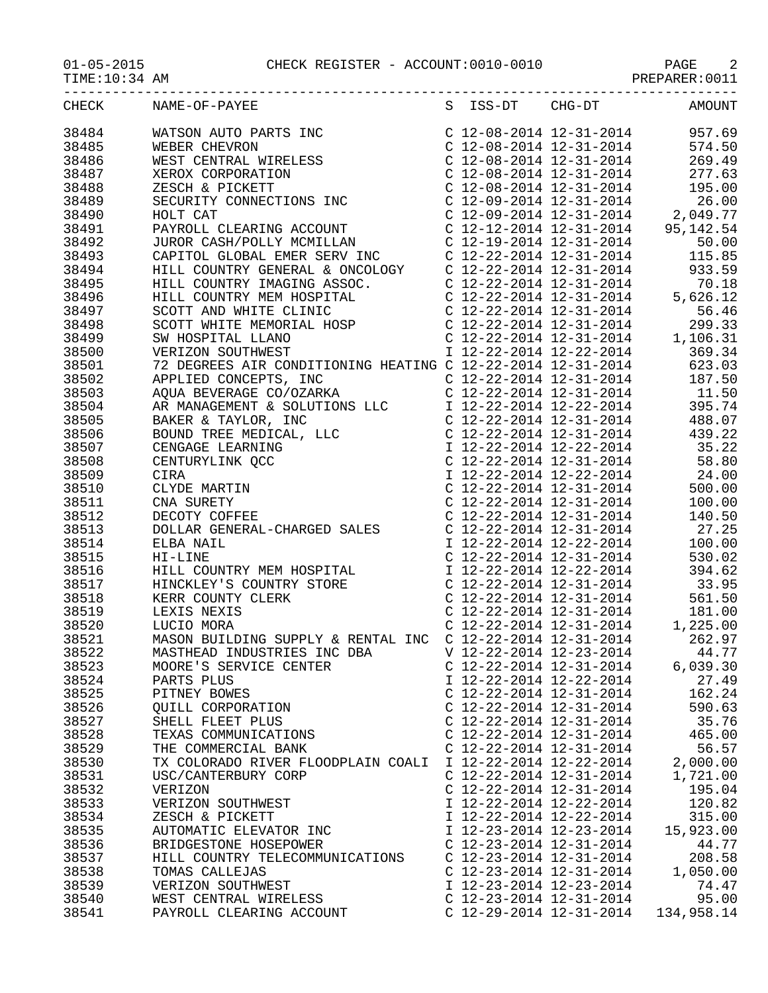|       | CHECK NAME-OF-PAYEE S ISS-DT CHG-DT AMOUNT                        |                           |                                     |           |
|-------|-------------------------------------------------------------------|---------------------------|-------------------------------------|-----------|
| 38484 |                                                                   |                           |                                     |           |
| 38485 |                                                                   |                           |                                     |           |
| 38486 |                                                                   |                           |                                     |           |
| 38487 |                                                                   |                           |                                     |           |
| 38488 |                                                                   |                           |                                     |           |
| 38489 |                                                                   |                           |                                     |           |
| 38490 |                                                                   |                           |                                     |           |
| 38491 |                                                                   |                           |                                     |           |
| 38492 |                                                                   |                           |                                     |           |
| 38493 |                                                                   |                           |                                     |           |
| 38494 |                                                                   |                           |                                     |           |
| 38495 |                                                                   |                           |                                     |           |
| 38496 |                                                                   |                           |                                     |           |
| 38497 |                                                                   |                           |                                     |           |
| 38498 |                                                                   |                           |                                     |           |
| 38499 |                                                                   |                           |                                     |           |
| 38500 |                                                                   |                           |                                     |           |
| 38501 |                                                                   |                           |                                     |           |
| 38502 |                                                                   |                           |                                     |           |
| 38503 |                                                                   |                           |                                     |           |
| 38504 |                                                                   |                           |                                     |           |
| 38505 |                                                                   |                           |                                     |           |
| 38506 |                                                                   |                           |                                     |           |
| 38507 |                                                                   |                           |                                     |           |
| 38508 |                                                                   |                           |                                     |           |
| 38509 |                                                                   |                           |                                     |           |
| 38510 |                                                                   |                           |                                     |           |
| 38511 |                                                                   |                           |                                     |           |
| 38512 |                                                                   |                           |                                     |           |
| 38513 |                                                                   |                           |                                     |           |
| 38514 |                                                                   |                           |                                     |           |
| 38515 |                                                                   |                           |                                     |           |
| 38516 |                                                                   |                           |                                     |           |
| 38517 |                                                                   |                           |                                     |           |
| 38518 |                                                                   |                           |                                     |           |
| 38519 |                                                                   |                           |                                     |           |
| 38520 |                                                                   |                           |                                     |           |
| 38521 | MASON BUILDING SUPPLY & RENTAL INC C 12-22-2014 12-31-2014 262.97 |                           |                                     |           |
| 38522 | MASTHEAD INDUSTRIES INC DBA                                       |                           | V 12-22-2014 12-23-2014             | 44.77     |
| 38523 | MOORE'S SERVICE CENTER                                            |                           | C $12 - 22 - 2014$ $12 - 31 - 2014$ | 6,039.30  |
| 38524 | PARTS PLUS                                                        |                           | I 12-22-2014 12-22-2014             | 27.49     |
| 38525 | PITNEY BOWES                                                      |                           | $C$ 12-22-2014 12-31-2014           | 162.24    |
| 38526 | QUILL CORPORATION                                                 |                           | $C$ 12-22-2014 12-31-2014           | 590.63    |
| 38527 | SHELL FLEET PLUS                                                  |                           | $C$ 12-22-2014 12-31-2014           | 35.76     |
| 38528 | TEXAS COMMUNICATIONS                                              | C 12-22-2014 12-31-2014   |                                     | 465.00    |
| 38529 | THE COMMERCIAL BANK                                               | $C$ 12-22-2014 12-31-2014 |                                     | 56.57     |
| 38530 | TX COLORADO RIVER FLOODPLAIN COALI I 12-22-2014 12-22-2014        |                           |                                     | 2,000.00  |
| 38531 | USC/CANTERBURY CORP                                               |                           | $C$ 12-22-2014 12-31-2014           | 1,721.00  |
| 38532 | VERIZON                                                           |                           | $C$ 12-22-2014 12-31-2014           | 195.04    |
| 38533 | VERIZON SOUTHWEST                                                 |                           | I 12-22-2014 12-22-2014             | 120.82    |
| 38534 | ZESCH & PICKETT                                                   |                           | I 12-22-2014 12-22-2014             | 315.00    |
| 38535 | AUTOMATIC ELEVATOR INC                                            |                           | I 12-23-2014 12-23-2014             | 15,923.00 |
| 38536 | BRIDGESTONE HOSEPOWER                                             |                           | C $12 - 23 - 2014$ $12 - 31 - 2014$ | 44.77     |
| 38537 | HILL COUNTRY TELECOMMUNICATIONS                                   |                           | $C$ 12-23-2014 12-31-2014           | 208.58    |
| 38538 | TOMAS CALLEJAS                                                    |                           | C $12 - 23 - 2014$ $12 - 31 - 2014$ | 1,050.00  |
| 38539 | VERIZON SOUTHWEST                                                 | I 12-23-2014 12-23-2014   |                                     | 74.47     |
| 38540 | WEST CENTRAL WIRELESS                                             | $C$ 12-23-2014 12-31-2014 |                                     | 95.00     |

38541 PAYROLL CLEARING ACCOUNT C 12-29-2014 12-31-2014 134,958.14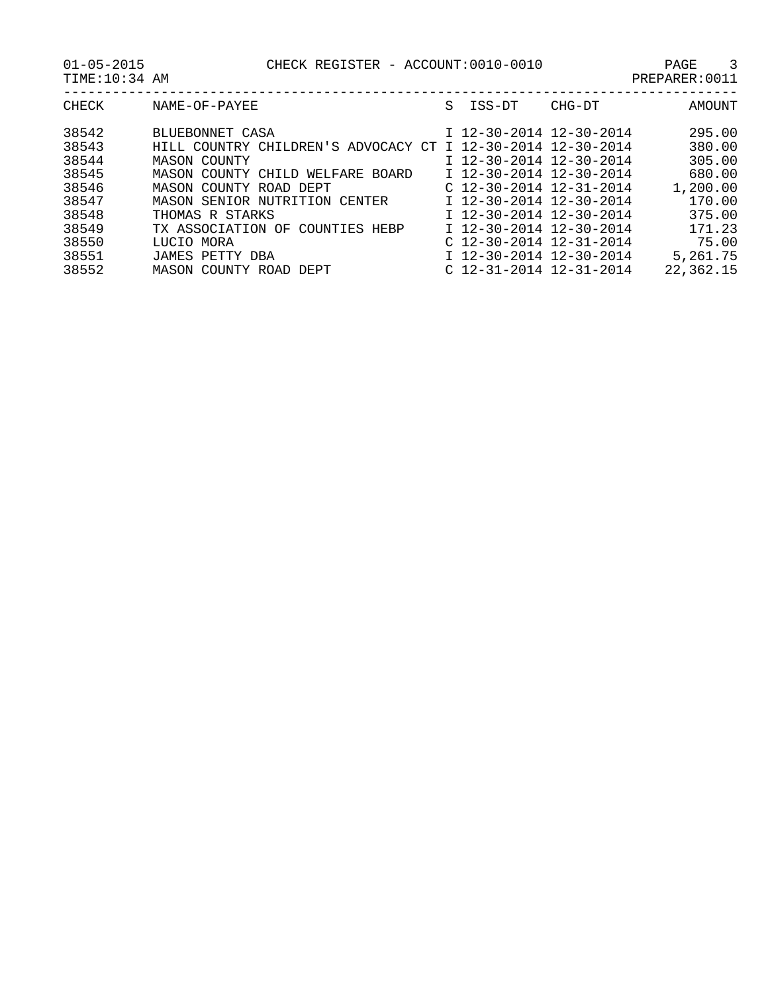01-05-2015 CHECK REGISTER - ACCOUNT:0010-0010 PAGE 3

| TIME:10:34 AM |                                                             |   |                           |        | PREPARER: 0011 |
|---------------|-------------------------------------------------------------|---|---------------------------|--------|----------------|
| CHECK         | NAME-OF-PAYEE                                               | S | ISS-DT                    | CHG-DT | AMOUNT         |
| 38542         | BLUEBONNET CASA                                             |   | I 12-30-2014 12-30-2014   |        | 295.00         |
| 38543         | HILL COUNTRY CHILDREN'S ADVOCACY CT I 12-30-2014 12-30-2014 |   |                           |        | 380.00         |
| 38544         | MASON COUNTY                                                |   | I 12-30-2014 12-30-2014   |        | 305.00         |
| 38545         | MASON COUNTY CHILD WELFARE BOARD                            |   | $I$ 12-30-2014 12-30-2014 |        | 680.00         |
| 38546         | MASON COUNTY ROAD DEPT                                      |   | $C$ 12-30-2014 12-31-2014 |        | 1,200.00       |
| 38547         | MASON SENIOR NUTRITION CENTER                               |   | $I$ 12-30-2014 12-30-2014 |        | 170.00         |
| 38548         | THOMAS R STARKS                                             |   | I 12-30-2014 12-30-2014   |        | 375.00         |
| 38549         | TX ASSOCIATION OF COUNTIES HEBP                             |   | I 12-30-2014 12-30-2014   |        | 171.23         |
| 38550         | LUCIO MORA                                                  |   | $C$ 12-30-2014 12-31-2014 |        | 75.00          |
| 38551         | JAMES PETTY DBA                                             |   | I 12-30-2014 12-30-2014   |        | 5,261.75       |
| 38552         | MASON COUNTY ROAD DEPT                                      |   | $C$ 12-31-2014 12-31-2014 |        | 22,362.15      |
|               |                                                             |   |                           |        |                |